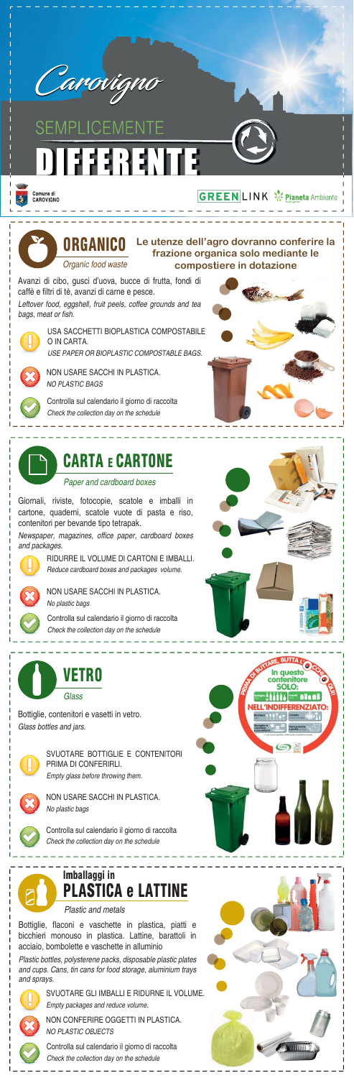

SEMPLICEMENTE DIEERENTE



### **GREEN LINK %** Pianeta Ambiente

Plastic and metals

#### Paper and cardboard boxes

Giornali, riviste, fotocopie, scatole e imballi in cartone, quaderni, scatole vuote di pasta e riso, contenitori per bevande tipo tetrapak.

Newspaper, magazines, office paper, cardboard boxes and packages.



RIDURRE IL VOLUME DI CARTONI E IMBALLI. Reduce cardboard boxes and packages volume.



Bottiglie, flaconi e vaschette in plastica, piatti e bicchieri monouso in plastica. Lattine, barattoli in acciaio, bombolette e vaschette in alluminio

Plastic bottles, polysterene packs, disposable plastic plates and cups. Cans, tin cans for food storage, aluminium trays and sprays.



SVUOTARE GLI IMBALLI E RIDURNE IL VOLUME. Empty packages and reduce volume.





Bottiglie, contenitori e vasetti in vetro. Glass bottles and jars.



SVUOTARE BOTTIGLIE E CONTENITORI PRIMA DI CONFERIRLI.

Empty glass before throwing them.



Avanzi di cibo, gusci d'uova, bucce di frutta, fondi di caffè e filtri di tè, avanzi di carne e pesce. Leftover food, eggshell, fruit peels, coffee grounds and tea bags, meat or fish.



USA SACCHETTI BIOPLASTICA COMPOSTABILE O IN CARTA. USE PAPER OR BIOPLASTIC COMPOSTABLE BAGS.



NON USARE SACCHI IN PLASTICA. NO PLASTIC BAGS





Controlla sul calendario il giorno di raccolta Check the collection day on the schedule





NON USARE SACCHI IN PLASTICA. No plastic bags



NON USARE SACCHI IN PLASTICA. No plastic bags







NON CONFERIRE OGGETTI IN PLASTICA. NO PLASTIC OBJECTS



Controlla sul calendario il giorno di raccolta Check the collection day on the schedule

Controlla sul calendario il giorno di raccolta Check the collection day on the schedule

Controlla sul calendario il giorno di raccolta Check the collection day on the schedule





### **Le utenze dell'agro dovranno conferire la frazione organica solo mediante le compostiere in dotazione**